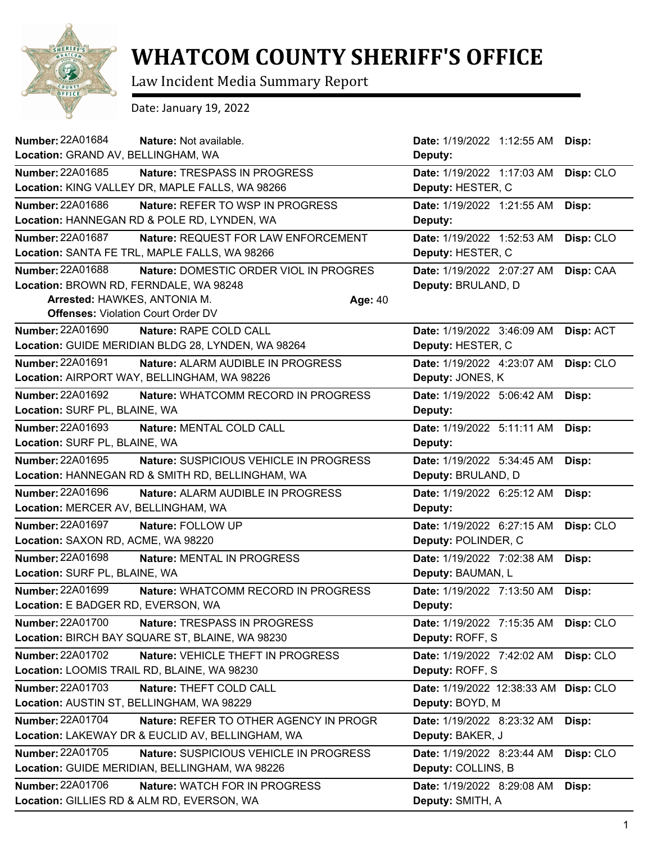

## **WHATCOM COUNTY SHERIFF'S OFFICE**

Law Incident Media Summary Report

Date: January 19, 2022

| <b>Number: 22A01684</b><br>Nature: Not available.              | Date: 1/19/2022 1:12:55 AM  | Disp:     |
|----------------------------------------------------------------|-----------------------------|-----------|
| Location: GRAND AV, BELLINGHAM, WA                             | Deputy:                     |           |
| <b>Number: 22A01685</b><br><b>Nature: TRESPASS IN PROGRESS</b> | Date: 1/19/2022 1:17:03 AM  | Disp: CLO |
| Location: KING VALLEY DR, MAPLE FALLS, WA 98266                | Deputy: HESTER, C           |           |
| Number: 22A01686<br>Nature: REFER TO WSP IN PROGRESS           | Date: 1/19/2022 1:21:55 AM  | Disp:     |
| Location: HANNEGAN RD & POLE RD, LYNDEN, WA                    | Deputy:                     |           |
| <b>Number: 22A01687</b><br>Nature: REQUEST FOR LAW ENFORCEMENT | Date: 1/19/2022 1:52:53 AM  | Disp: CLO |
| Location: SANTA FE TRL, MAPLE FALLS, WA 98266                  | Deputy: HESTER, C           |           |
| Number: 22A01688<br>Nature: DOMESTIC ORDER VIOL IN PROGRES     | Date: 1/19/2022 2:07:27 AM  | Disp: CAA |
| Location: BROWN RD, FERNDALE, WA 98248                         | Deputy: BRULAND, D          |           |
| Arrested: HAWKES, ANTONIA M.<br>Age: 40                        |                             |           |
| <b>Offenses: Violation Court Order DV</b>                      |                             |           |
| Number: 22A01690<br>Nature: RAPE COLD CALL                     | Date: 1/19/2022 3:46:09 AM  | Disp: ACT |
| Location: GUIDE MERIDIAN BLDG 28, LYNDEN, WA 98264             | Deputy: HESTER, C           |           |
| Number: 22A01691<br>Nature: ALARM AUDIBLE IN PROGRESS          | Date: 1/19/2022 4:23:07 AM  | Disp: CLO |
| Location: AIRPORT WAY, BELLINGHAM, WA 98226                    | Deputy: JONES, K            |           |
| <b>Number: 22A01692</b><br>Nature: WHATCOMM RECORD IN PROGRESS | Date: 1/19/2022 5:06:42 AM  | Disp:     |
| Location: SURF PL, BLAINE, WA                                  | Deputy:                     |           |
| <b>Number: 22A01693</b><br>Nature: MENTAL COLD CALL            | Date: 1/19/2022 5:11:11 AM  | Disp:     |
| Location: SURF PL, BLAINE, WA                                  | Deputy:                     |           |
| Number: 22A01695<br>Nature: SUSPICIOUS VEHICLE IN PROGRESS     | Date: 1/19/2022 5:34:45 AM  | Disp:     |
| Location: HANNEGAN RD & SMITH RD, BELLINGHAM, WA               | Deputy: BRULAND, D          |           |
| Number: 22A01696<br>Nature: ALARM AUDIBLE IN PROGRESS          | Date: 1/19/2022 6:25:12 AM  | Disp:     |
| Location: MERCER AV, BELLINGHAM, WA                            | Deputy:                     |           |
| <b>Number: 22A01697</b><br>Nature: FOLLOW UP                   | Date: 1/19/2022 6:27:15 AM  | Disp: CLO |
| Location: SAXON RD, ACME, WA 98220                             | Deputy: POLINDER, C         |           |
| Number: 22A01698<br>Nature: MENTAL IN PROGRESS                 | Date: 1/19/2022 7:02:38 AM  | Disp:     |
| Location: SURF PL, BLAINE, WA                                  | Deputy: BAUMAN, L           |           |
| Number: 22A01699<br>Nature: WHATCOMM RECORD IN PROGRESS        | Date: 1/19/2022 7:13:50 AM  | Disp:     |
| Location: E BADGER RD, EVERSON, WA                             | Deputy:                     |           |
| <b>Number: 22A01700</b><br>Nature: TRESPASS IN PROGRESS        | Date: 1/19/2022 7:15:35 AM  | Disp: CLO |
| Location: BIRCH BAY SQUARE ST, BLAINE, WA 98230                | Deputy: ROFF, S             |           |
| Number: 22A01702<br>Nature: VEHICLE THEFT IN PROGRESS          | Date: 1/19/2022 7:42:02 AM  | Disp: CLO |
| Location: LOOMIS TRAIL RD, BLAINE, WA 98230                    | Deputy: ROFF, S             |           |
| <b>Number: 22A01703</b><br>Nature: THEFT COLD CALL             | Date: 1/19/2022 12:38:33 AM | Disp: CLO |
| Location: AUSTIN ST, BELLINGHAM, WA 98229                      | Deputy: BOYD, M             |           |
| Number: 22A01704<br>Nature: REFER TO OTHER AGENCY IN PROGR     | Date: 1/19/2022 8:23:32 AM  | Disp:     |
| Location: LAKEWAY DR & EUCLID AV, BELLINGHAM, WA               | Deputy: BAKER, J            |           |
| Number: 22A01705<br>Nature: SUSPICIOUS VEHICLE IN PROGRESS     | Date: 1/19/2022 8:23:44 AM  | Disp: CLO |
| Location: GUIDE MERIDIAN, BELLINGHAM, WA 98226                 | Deputy: COLLINS, B          |           |
| Number: 22A01706<br>Nature: WATCH FOR IN PROGRESS              | Date: 1/19/2022 8:29:08 AM  | Disp:     |
| Location: GILLIES RD & ALM RD, EVERSON, WA                     | Deputy: SMITH, A            |           |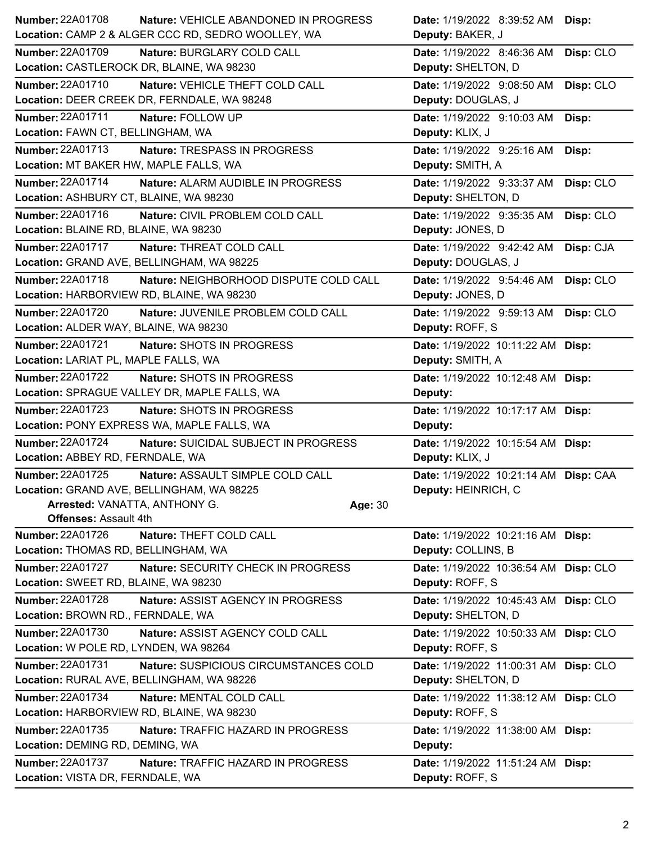| Number: 22A01708                          | Nature: VEHICLE ABANDONED IN PROGRESS              |         | Date: 1/19/2022 8:39:52 AM Disp:      |           |
|-------------------------------------------|----------------------------------------------------|---------|---------------------------------------|-----------|
|                                           | Location: CAMP 2 & ALGER CCC RD, SEDRO WOOLLEY, WA |         | Deputy: BAKER, J                      |           |
| <b>Number: 22A01709</b>                   | Nature: BURGLARY COLD CALL                         |         | Date: 1/19/2022 8:46:36 AM            | Disp: CLO |
| Location: CASTLEROCK DR, BLAINE, WA 98230 |                                                    |         | Deputy: SHELTON, D                    |           |
| Number: 22A01710                          | Nature: VEHICLE THEFT COLD CALL                    |         | Date: 1/19/2022 9:08:50 AM            | Disp: CLO |
|                                           | Location: DEER CREEK DR, FERNDALE, WA 98248        |         | Deputy: DOUGLAS, J                    |           |
| <b>Number: 22A01711</b>                   | Nature: FOLLOW UP                                  |         | Date: 1/19/2022 9:10:03 AM            | Disp:     |
| Location: FAWN CT, BELLINGHAM, WA         |                                                    |         | Deputy: KLIX, J                       |           |
| Number: 22A01713                          | Nature: TRESPASS IN PROGRESS                       |         | Date: 1/19/2022 9:25:16 AM            | Disp:     |
| Location: MT BAKER HW, MAPLE FALLS, WA    |                                                    |         | Deputy: SMITH, A                      |           |
| Number: 22A01714                          | Nature: ALARM AUDIBLE IN PROGRESS                  |         | Date: 1/19/2022 9:33:37 AM            | Disp: CLO |
| Location: ASHBURY CT, BLAINE, WA 98230    |                                                    |         | Deputy: SHELTON, D                    |           |
| Number: 22A01716                          | Nature: CIVIL PROBLEM COLD CALL                    |         | Date: 1/19/2022 9:35:35 AM            | Disp: CLO |
| Location: BLAINE RD, BLAINE, WA 98230     |                                                    |         | Deputy: JONES, D                      |           |
| Number: 22A01717                          | Nature: THREAT COLD CALL                           |         | Date: 1/19/2022 9:42:42 AM            | Disp: CJA |
| Location: GRAND AVE, BELLINGHAM, WA 98225 |                                                    |         | Deputy: DOUGLAS, J                    |           |
| <b>Number: 22A01718</b>                   | Nature: NEIGHBORHOOD DISPUTE COLD CALL             |         | Date: 1/19/2022 9:54:46 AM            | Disp: CLO |
| Location: HARBORVIEW RD, BLAINE, WA 98230 |                                                    |         | Deputy: JONES, D                      |           |
| Number: 22A01720                          | Nature: JUVENILE PROBLEM COLD CALL                 |         | Date: 1/19/2022 9:59:13 AM            | Disp: CLO |
| Location: ALDER WAY, BLAINE, WA 98230     |                                                    |         | Deputy: ROFF, S                       |           |
| <b>Number: 22A01721</b>                   | Nature: SHOTS IN PROGRESS                          |         | Date: 1/19/2022 10:11:22 AM Disp:     |           |
| Location: LARIAT PL, MAPLE FALLS, WA      |                                                    |         | Deputy: SMITH, A                      |           |
| Number: 22A01722                          | Nature: SHOTS IN PROGRESS                          |         | Date: 1/19/2022 10:12:48 AM Disp:     |           |
|                                           | Location: SPRAGUE VALLEY DR, MAPLE FALLS, WA       |         | Deputy:                               |           |
| <b>Number: 22A01723</b>                   | Nature: SHOTS IN PROGRESS                          |         | Date: 1/19/2022 10:17:17 AM Disp:     |           |
|                                           | Location: PONY EXPRESS WA, MAPLE FALLS, WA         |         | Deputy:                               |           |
| Number: 22A01724                          | Nature: SUICIDAL SUBJECT IN PROGRESS               |         | Date: 1/19/2022 10:15:54 AM Disp:     |           |
|                                           |                                                    |         |                                       |           |
| Location: ABBEY RD, FERNDALE, WA          |                                                    |         | Deputy: KLIX, J                       |           |
| Number: 22A01725                          | Nature: ASSAULT SIMPLE COLD CALL                   |         | Date: 1/19/2022 10:21:14 AM Disp: CAA |           |
| Location: GRAND AVE, BELLINGHAM, WA 98225 |                                                    |         | Deputy: HEINRICH, C                   |           |
| Arrested: VANATTA, ANTHONY G.             |                                                    | Age: 30 |                                       |           |
| <b>Offenses: Assault 4th</b>              |                                                    |         |                                       |           |
| Number: 22A01726                          | Nature: THEFT COLD CALL                            |         | Date: 1/19/2022 10:21:16 AM Disp:     |           |
| Location: THOMAS RD, BELLINGHAM, WA       |                                                    |         | Deputy: COLLINS, B                    |           |
| <b>Number: 22A01727</b>                   | Nature: SECURITY CHECK IN PROGRESS                 |         | Date: 1/19/2022 10:36:54 AM Disp: CLO |           |
| Location: SWEET RD, BLAINE, WA 98230      |                                                    |         | Deputy: ROFF, S                       |           |
| Number: 22A01728                          | Nature: ASSIST AGENCY IN PROGRESS                  |         | Date: 1/19/2022 10:45:43 AM Disp: CLO |           |
| Location: BROWN RD., FERNDALE, WA         |                                                    |         | Deputy: SHELTON, D                    |           |
| Number: 22A01730                          | Nature: ASSIST AGENCY COLD CALL                    |         | Date: 1/19/2022 10:50:33 AM Disp: CLO |           |
| Location: W POLE RD, LYNDEN, WA 98264     |                                                    |         | Deputy: ROFF, S                       |           |
| <b>Number: 22A01731</b>                   | Nature: SUSPICIOUS CIRCUMSTANCES COLD              |         | Date: 1/19/2022 11:00:31 AM Disp: CLO |           |
| Location: RURAL AVE, BELLINGHAM, WA 98226 |                                                    |         | Deputy: SHELTON, D                    |           |
| Number: 22A01734                          | Nature: MENTAL COLD CALL                           |         | Date: 1/19/2022 11:38:12 AM Disp: CLO |           |
| Location: HARBORVIEW RD, BLAINE, WA 98230 |                                                    |         | Deputy: ROFF, S                       |           |
| Number: 22A01735                          | Nature: TRAFFIC HAZARD IN PROGRESS                 |         | Date: 1/19/2022 11:38:00 AM Disp:     |           |
| Location: DEMING RD, DEMING, WA           |                                                    |         | Deputy:                               |           |
| <b>Number: 22A01737</b>                   | Nature: TRAFFIC HAZARD IN PROGRESS                 |         | Date: 1/19/2022 11:51:24 AM Disp:     |           |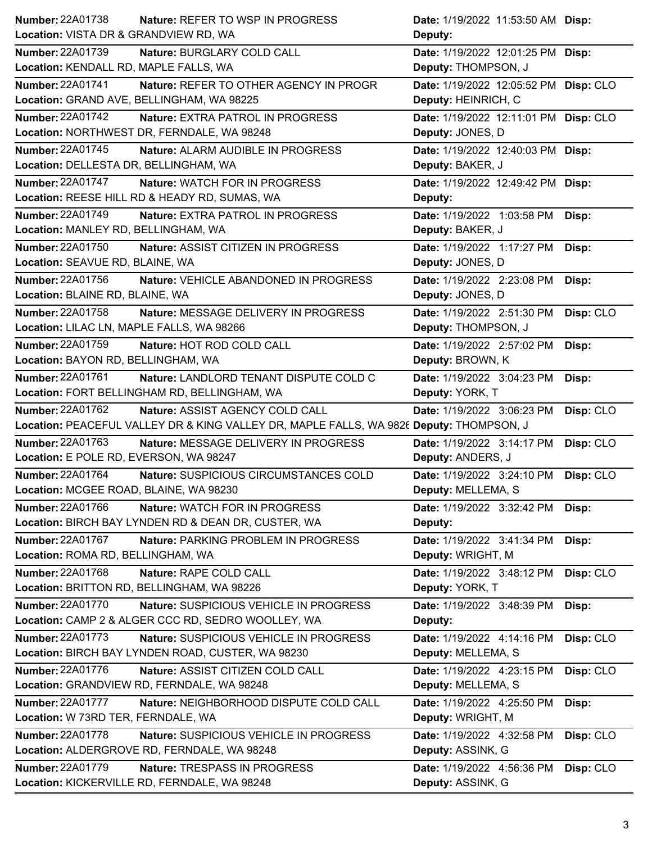| <b>Number: 22A01738</b><br><b>Nature: REFER TO WSP IN PROGRESS</b>                      | Date: 1/19/2022 11:53:50 AM Disp:       |
|-----------------------------------------------------------------------------------------|-----------------------------------------|
| Location: VISTA DR & GRANDVIEW RD, WA                                                   | Deputy:                                 |
| <b>Number: 22A01739</b><br>Nature: BURGLARY COLD CALL                                   | Date: 1/19/2022 12:01:25 PM Disp:       |
| Location: KENDALL RD, MAPLE FALLS, WA                                                   | Deputy: THOMPSON, J                     |
| <b>Number: 22A01741</b><br>Nature: REFER TO OTHER AGENCY IN PROGR                       | Date: 1/19/2022 12:05:52 PM Disp: CLO   |
| Location: GRAND AVE, BELLINGHAM, WA 98225                                               | Deputy: HEINRICH, C                     |
| <b>Number: 22A01742</b><br>Nature: EXTRA PATROL IN PROGRESS                             | Date: 1/19/2022 12:11:01 PM Disp: CLO   |
| Location: NORTHWEST DR, FERNDALE, WA 98248                                              | Deputy: JONES, D                        |
| <b>Number: 22A01745</b><br>Nature: ALARM AUDIBLE IN PROGRESS                            | Date: 1/19/2022 12:40:03 PM Disp:       |
| Location: DELLESTA DR, BELLINGHAM, WA                                                   | Deputy: BAKER, J                        |
| <b>Number: 22A01747</b><br><b>Nature: WATCH FOR IN PROGRESS</b>                         | Date: 1/19/2022 12:49:42 PM Disp:       |
| Location: REESE HILL RD & HEADY RD, SUMAS, WA                                           | Deputy:                                 |
| Number: 22A01749<br><b>Nature: EXTRA PATROL IN PROGRESS</b>                             | Date: 1/19/2022 1:03:58 PM<br>Disp:     |
| Location: MANLEY RD, BELLINGHAM, WA                                                     | Deputy: BAKER, J                        |
| Number: 22A01750<br>Nature: ASSIST CITIZEN IN PROGRESS                                  | Date: 1/19/2022 1:17:27 PM<br>Disp:     |
| Location: SEAVUE RD, BLAINE, WA                                                         | Deputy: JONES, D                        |
| Number: 22A01756<br>Nature: VEHICLE ABANDONED IN PROGRESS                               | Date: 1/19/2022 2:23:08 PM<br>Disp:     |
| Location: BLAINE RD, BLAINE, WA                                                         | Deputy: JONES, D                        |
| Number: 22A01758<br>Nature: MESSAGE DELIVERY IN PROGRESS                                | Date: 1/19/2022 2:51:30 PM<br>Disp: CLO |
| Location: LILAC LN, MAPLE FALLS, WA 98266                                               | Deputy: THOMPSON, J                     |
| Number: 22A01759<br>Nature: HOT ROD COLD CALL                                           | Date: 1/19/2022 2:57:02 PM<br>Disp:     |
| Location: BAYON RD, BELLINGHAM, WA                                                      | Deputy: BROWN, K                        |
| Number: 22A01761<br>Nature: LANDLORD TENANT DISPUTE COLD C                              | Date: 1/19/2022 3:04:23 PM<br>Disp:     |
| Location: FORT BELLINGHAM RD, BELLINGHAM, WA                                            | Deputy: YORK, T                         |
| Number: 22A01762<br>Nature: ASSIST AGENCY COLD CALL                                     | Date: 1/19/2022 3:06:23 PM<br>Disp: CLO |
|                                                                                         |                                         |
| Location: PEACEFUL VALLEY DR & KING VALLEY DR, MAPLE FALLS, WA 9826 Deputy: THOMPSON, J |                                         |
| <b>Number: 22A01763</b><br>Nature: MESSAGE DELIVERY IN PROGRESS                         | Date: 1/19/2022 3:14:17 PM<br>Disp: CLO |
| Location: E POLE RD, EVERSON, WA 98247                                                  | Deputy: ANDERS, J                       |
| Number: 22A01764<br>Nature: SUSPICIOUS CIRCUMSTANCES COLD                               | Date: 1/19/2022 3:24:10 PM<br>Disp: CLO |
| Location: MCGEE ROAD, BLAINE, WA 98230                                                  | Deputy: MELLEMA, S                      |
| Number: 22A01766<br>Nature: WATCH FOR IN PROGRESS                                       | Date: 1/19/2022 3:32:42 PM<br>Disp:     |
| Location: BIRCH BAY LYNDEN RD & DEAN DR, CUSTER, WA                                     | Deputy:                                 |
| Number: 22A01767<br>Nature: PARKING PROBLEM IN PROGRESS                                 | Date: 1/19/2022 3:41:34 PM<br>Disp:     |
| Location: ROMA RD, BELLINGHAM, WA                                                       | Deputy: WRIGHT, M                       |
| Number: 22A01768<br>Nature: RAPE COLD CALL                                              | Date: 1/19/2022 3:48:12 PM<br>Disp: CLO |
| Location: BRITTON RD, BELLINGHAM, WA 98226                                              | Deputy: YORK, T                         |
| <b>Number: 22A01770</b><br>Nature: SUSPICIOUS VEHICLE IN PROGRESS                       | Date: 1/19/2022 3:48:39 PM<br>Disp:     |
| Location: CAMP 2 & ALGER CCC RD, SEDRO WOOLLEY, WA                                      | Deputy:                                 |
| <b>Number: 22A01773</b><br>Nature: SUSPICIOUS VEHICLE IN PROGRESS                       | Disp: CLO<br>Date: 1/19/2022 4:14:16 PM |
| Location: BIRCH BAY LYNDEN ROAD, CUSTER, WA 98230                                       | Deputy: MELLEMA, S                      |
| <b>Number: 22A01776</b><br>Nature: ASSIST CITIZEN COLD CALL                             | Date: 1/19/2022 4:23:15 PM<br>Disp: CLO |
| Location: GRANDVIEW RD, FERNDALE, WA 98248                                              | Deputy: MELLEMA, S                      |
| <b>Number: 22A01777</b><br>Nature: NEIGHBORHOOD DISPUTE COLD CALL                       | Date: 1/19/2022 4:25:50 PM<br>Disp:     |
| Location: W 73RD TER, FERNDALE, WA                                                      | Deputy: WRIGHT, M                       |
| <b>Number: 22A01778</b><br>Nature: SUSPICIOUS VEHICLE IN PROGRESS                       | Disp: CLO<br>Date: 1/19/2022 4:32:58 PM |
| Location: ALDERGROVE RD, FERNDALE, WA 98248                                             | Deputy: ASSINK, G                       |
| <b>Number: 22A01779</b><br>Nature: TRESPASS IN PROGRESS                                 | Disp: CLO<br>Date: 1/19/2022 4:56:36 PM |